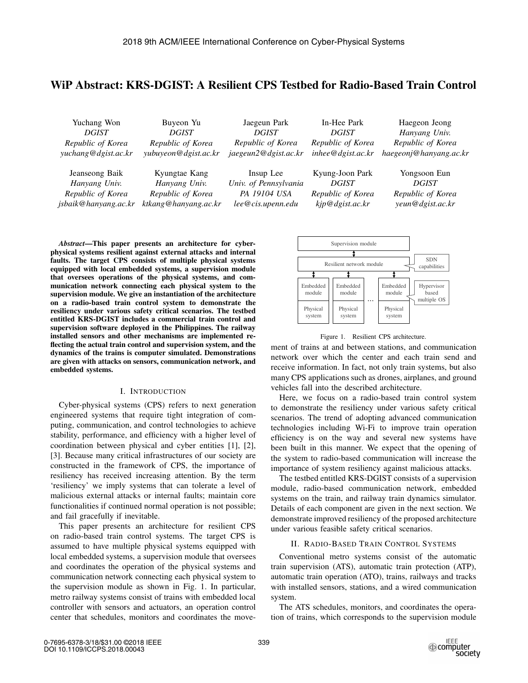# WiP Abstract: KRS-DGIST: A Resilient CPS Testbed for Radio-Based Train Control

| Yuchang Won          | Buyeon Yu            | Jaegeun Park          | In-Hee Park       | Haegeon Jeong          |
|----------------------|----------------------|-----------------------|-------------------|------------------------|
| <i>DGIST</i>         | <b>DGIST</b>         | <b>DGIST</b>          | <i>DGIST</i>      | Hanyang Univ.          |
| Republic of Korea    | Republic of Korea    | Republic of Korea     | Republic of Korea | Republic of Korea      |
| yuchang@dgist.ac.kr  | yubuyeon@dgist.ac.kr | jaegeun2@dgist.ac.kr  | inhee@dgist.ac.kr | haegeonj@hanyang.ac.kr |
| Jeanseong Baik       | Kyungtae Kang        | Insup Lee             | Kyung-Joon Park   | Yongsoon Eun           |
| Hanyang Univ.        | Hanyang Univ.        | Univ. of Pennsylvania | <b>DGIST</b>      | <i>DGIST</i>           |
| Republic of Korea    | Republic of Korea    | PA 19104 USA          | Republic of Korea | Republic of Korea      |
| jsbaik@hanyang.ac.kr | ktkang@hanyang.ac.kr | lee@cis.upenn.edu     | kip@dgist.ac.kr   | yeun@dgist.ac.kr       |

*Abstract*—This paper presents an architecture for cyberphysical systems resilient against external attacks and internal faults. The target CPS consists of multiple physical systems equipped with local embedded systems, a supervision module that oversees operations of the physical systems, and communication network connecting each physical system to the supervision module. We give an instantiation of the architecture on a radio-based train control system to demonstrate the resiliency under various safety critical scenarios. The testbed entitled KRS-DGIST includes a commercial train control and supervision software deployed in the Philippines. The railway installed sensors and other mechanisms are implemented reflecting the actual train control and supervision system, and the dynamics of the trains is computer simulated. Demonstrations are given with attacks on sensors, communication network, and embedded systems.

### I. INTRODUCTION

Cyber-physical systems (CPS) refers to next generation engineered systems that require tight integration of computing, communication, and control technologies to achieve stability, performance, and efficiency with a higher level of coordination between physical and cyber entities [1], [2], [3]. Because many critical infrastructures of our society are constructed in the framework of CPS, the importance of resiliency has received increasing attention. By the term 'resiliency' we imply systems that can tolerate a level of malicious external attacks or internal faults; maintain core functionalities if continued normal operation is not possible; and fail gracefully if inevitable.

This paper presents an architecture for resilient CPS on radio-based train control systems. The target CPS is assumed to have multiple physical systems equipped with local embedded systems, a supervision module that oversees and coordinates the operation of the physical systems and communication network connecting each physical system to the supervision module as shown in Fig. 1. In particular, metro railway systems consist of trains with embedded local controller with sensors and actuators, an operation control center that schedules, monitors and coordinates the move-



Figure 1. Resilient CPS architecture.

ment of trains at and between stations, and communication network over which the center and each train send and receive information. In fact, not only train systems, but also many CPS applications such as drones, airplanes, and ground vehicles fall into the described architecture.

Here, we focus on a radio-based train control system to demonstrate the resiliency under various safety critical scenarios. The trend of adopting advanced communication technologies including Wi-Fi to improve train operation efficiency is on the way and several new systems have been built in this manner. We expect that the opening of the system to radio-based communication will increase the importance of system resiliency against malicious attacks.

The testbed entitled KRS-DGIST consists of a supervision module, radio-based communication network, embedded systems on the train, and railway train dynamics simulator. Details of each component are given in the next section. We demonstrate improved resiliency of the proposed architecture under various feasible safety critical scenarios.

## II. RADIO-BASED TRAIN CONTROL SYSTEMS

Conventional metro systems consist of the automatic train supervision (ATS), automatic train protection (ATP), automatic train operation (ATO), trains, railways and tracks with installed sensors, stations, and a wired communication system.

The ATS schedules, monitors, and coordinates the operation of trains, which corresponds to the supervision module